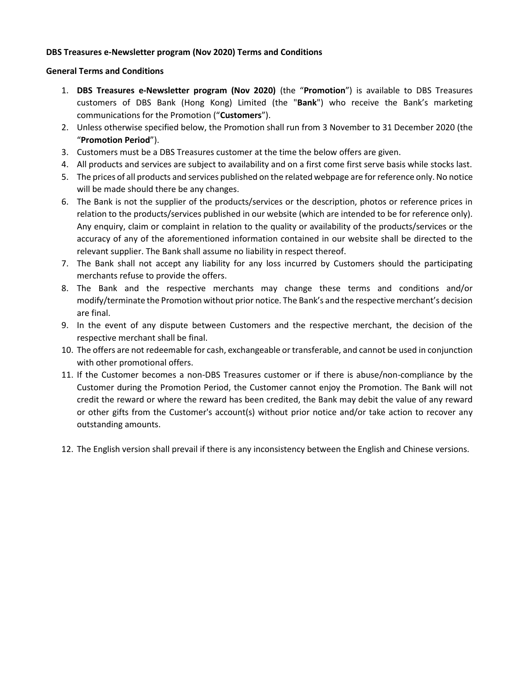### **DBS Treasures e-Newsletter program (Nov 2020) Terms and Conditions**

#### **General Terms and Conditions**

- 1. **DBS Treasures e-Newsletter program (Nov 2020)** (the "**Promotion**") is available to DBS Treasures customers of DBS Bank (Hong Kong) Limited (the "**Bank**") who receive the Bank's marketing communications for the Promotion ("**Customers**").
- 2. Unless otherwise specified below, the Promotion shall run from 3 November to 31 December 2020 (the "**Promotion Period**").
- 3. Customers must be a DBS Treasures customer at the time the below offers are given.
- 4. All products and services are subject to availability and on a first come first serve basis while stocks last.
- 5. The prices of all products and services published on the related webpage are for reference only. No notice will be made should there be any changes.
- 6. The Bank is not the supplier of the products/services or the description, photos or reference prices in relation to the products/services published in our website (which are intended to be for reference only). Any enquiry, claim or complaint in relation to the quality or availability of the products/services or the accuracy of any of the aforementioned information contained in our website shall be directed to the relevant supplier. The Bank shall assume no liability in respect thereof.
- 7. The Bank shall not accept any liability for any loss incurred by Customers should the participating merchants refuse to provide the offers.
- 8. The Bank and the respective merchants may change these terms and conditions and/or modify/terminate the Promotion without prior notice. The Bank's and the respective merchant's decision are final.
- 9. In the event of any dispute between Customers and the respective merchant, the decision of the respective merchant shall be final.
- 10. The offers are not redeemable for cash, exchangeable or transferable, and cannot be used in conjunction with other promotional offers.
- 11. If the Customer becomes a non-DBS Treasures customer or if there is abuse/non-compliance by the Customer during the Promotion Period, the Customer cannot enjoy the Promotion. The Bank will not credit the reward or where the reward has been credited, the Bank may debit the value of any reward or other gifts from the Customer's account(s) without prior notice and/or take action to recover any outstanding amounts.
- 12. The English version shall prevail if there is any inconsistency between the English and Chinese versions.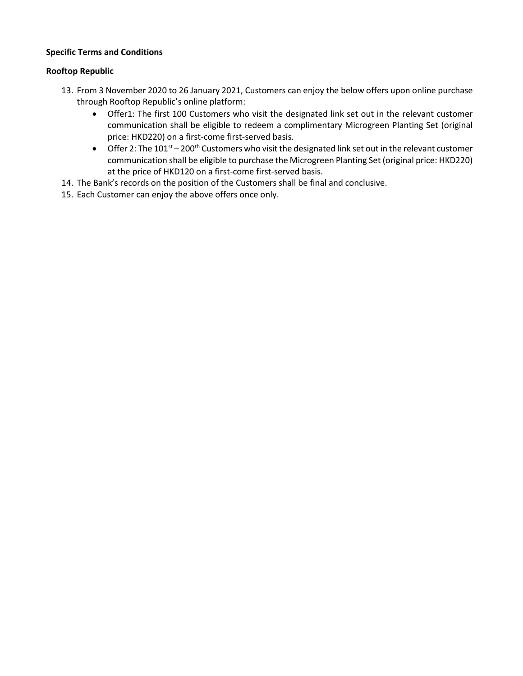### **Specific Terms and Conditions**

### **Rooftop Republic**

- 13. From 3 November 2020 to 26 January 2021, Customers can enjoy the below offers upon online purchase through Rooftop Republic's online platform:
	- Offer1: The first 100 Customers who visit the designated link set out in the relevant customer communication shall be eligible to redeem a complimentary Microgreen Planting Set (original price: HKD220) on a first-come first-served basis.
	- Offer 2: The  $101<sup>st</sup> 200<sup>th</sup>$  Customers who visit the designated link set out in the relevant customer communication shall be eligible to purchase the Microgreen Planting Set (original price: HKD220) at the price of HKD120 on a first-come first-served basis.
- 14. The Bank's records on the position of the Customers shall be final and conclusive.
- 15. Each Customer can enjoy the above offers once only.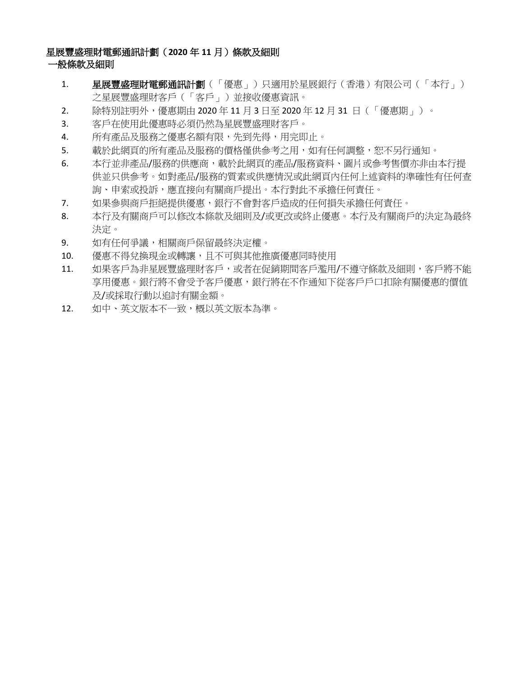# 星展豐盛理財電郵通訊計劃(**2020** 年 **11** 月)條款及細則

### 一般條款及細則

- 1. 星展豐盛理財電郵通訊計劃(「優惠」)只適用於星展銀行(香港)有限公司(「本行」) 之星展豐盛理財客戶(「客戶」)並接收優惠資訊。
- 2. 除特別註明外,優惠期由 2020 年 11 月 3 日至 2020 年 12 月 31 日(「優惠期」)。
- 3. 客戶在使用此優惠時必須仍然為星展豐盛理財客戶。
- 4. 所有產品及服務之優惠名額有限,先到先得,用完即止。
- 5. 載於此網頁的所有產品及服務的價格僅供參考之用,如有任何調整,恕不另行通知。
- 6. 本行並非產品/服務的供應商,載於此網頁的產品/服務資料、圖片或參考售價亦非由本行提 供並只供參考。如對產品/服務的質素或供應情況或此網頁內任何上述資料的準確性有任何查 詢、申索或投訴,應直接向有關商戶提出。本行對此不承擔任何責任。
- 7. 如果參與商戶拒絕提供優惠,銀行不會對客戶造成的任何損失承擔任何責任。
- 8. 本行及有關商戶可以修改本條款及細則及/或更改或終止優惠。本行及有關商戶的決定為最終 決定。
- 9. 如有任何爭議,相關商戶保留最終決定權。
- 10. 優惠不得兌換現金或轉讓,且不可與其他推廣優惠同時使用
- 11. 如果客戶為非星展豐盛理財客戶,或者在促銷期間客戶濫用/不遵守條款及細則,客戶將不能 享用優惠。銀行將不會受予客戶優惠,銀行將在不作通知下從客戶戶口扣除有關優惠的價值 及/或採取行動以追討有關金額。
- 12. 如中、英文版本不一致,概以英文版本為準。